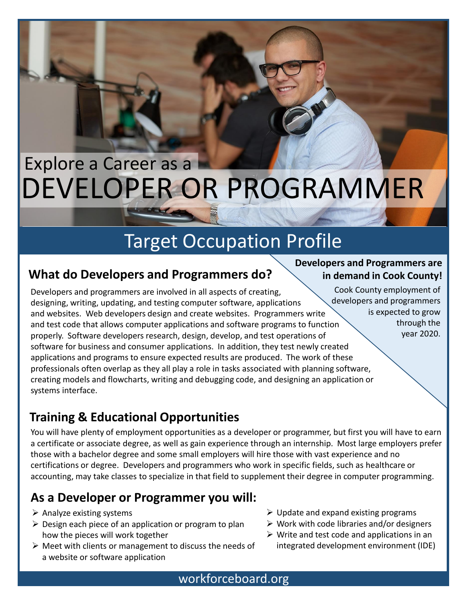# DEVELOPER OR PROGRAMMER Explore a Career as a

## Target Occupation Profile

### **What do Developers and Programmers do?**

Developers and programmers are involved in all aspects of creating, designing, writing, updating, and testing computer software, applications and websites. Web developers design and create websites. Programmers write and test code that allows computer applications and software programs to function properly. Software developers research, design, develop, and test operations of software for business and consumer applications. In addition, they test newly created applications and programs to ensure expected results are produced. The work of these professionals often overlap as they all play a role in tasks associated with planning software, creating models and flowcharts, writing and debugging code, and designing an application or systems interface.

### **Training & Educational Opportunities**

You will have plenty of employment opportunities as a developer or programmer, but first you will have to earn a certificate or associate degree, as well as gain experience through an internship. Most large employers prefer those with a bachelor degree and some small employers will hire those with vast experience and no certifications or degree. Developers and programmers who work in specific fields, such as healthcare or accounting, may take classes to specialize in that field to supplement their degree in computer programming.

### **As a Developer or Programmer you will:**

- $\triangleright$  Analyze existing systems
- $\triangleright$  Design each piece of an application or program to plan how the pieces will work together
- $\triangleright$  Meet with clients or management to discuss the needs of a website or software application
- $\triangleright$  Update and expand existing programs
- $\triangleright$  Work with code libraries and/or designers
- $\triangleright$  Write and test code and applications in an integrated development environment (IDE)

#### **Developers and Programmers are in demand in Cook County!**

Cook County employment of developers and programmers is expected to grow through the year 2020.

workforceboard.org